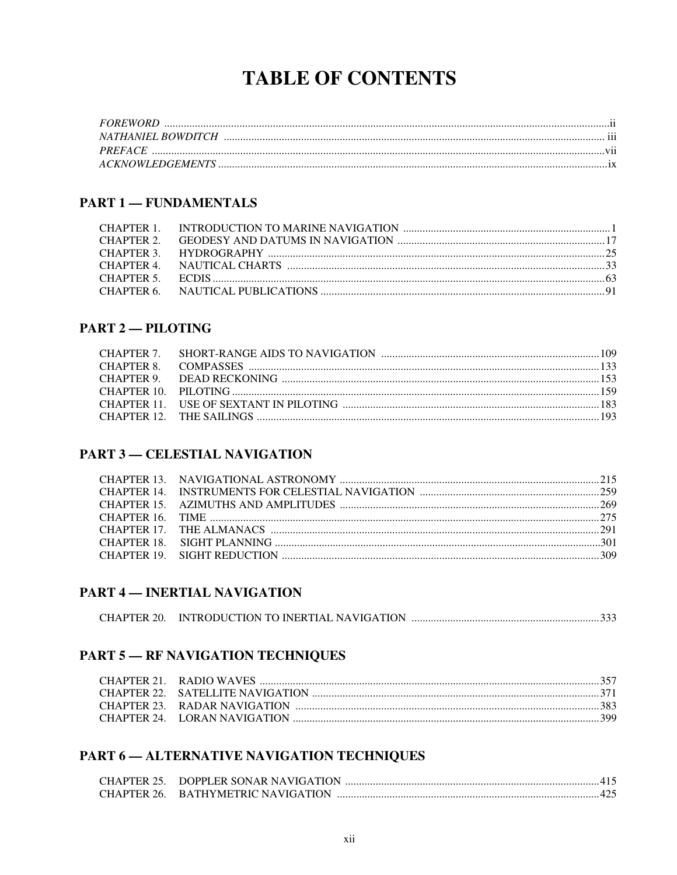# **TABLE OF CONTENTS**

### **PART 1 - FUNDAMENTALS**

### **PART 2-PILOTING**

### **PART 3 – CELESTIAL NAVIGATION**

#### **PART 4 – INERTIAL NAVIGATION**

|--|--|

### **PART 5 - RF NAVIGATION TECHNIQUES**

### PART 6 - ALTERNATIVE NAVIGATION TECHNIQUES